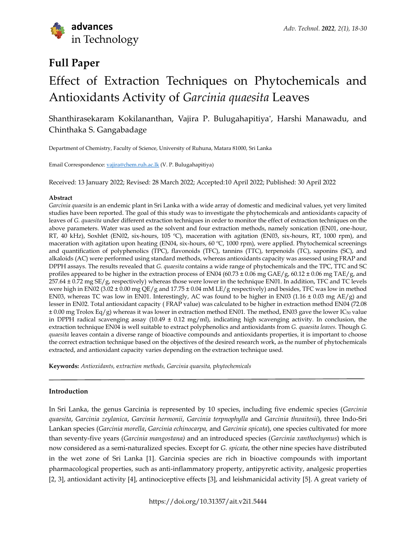

# **Full Paper**

# Effect of Extraction Techniques on Phytochemicals and Antioxidants Activity of *Garcinia quaesita* Leaves

Shanthirasekaram Kokilananthan, Vajira P. Bulugahapitiya\* , Harshi Manawadu, and Chinthaka S. Gangabadage

Department of Chemistry, Faculty of Science, University of Ruhuna, Matara 81000, Sri Lanka

Email Correspondence: [vajira@chem.ruh.ac.lk](mailto:vajira@chem.ruh.ac.lk) (V. P. Bulugahapitiya)

Received: 13 January 2022; Revised: 28 March 2022; Accepted:10 April 2022; Published: 30 April 2022

#### **Abstract**

*Garcinia quaesita* is an endemic plant in Sri Lanka with a wide array of domestic and medicinal values, yet very limited studies have been reported. The goal of this study was to investigate the phytochemicals and antioxidants capacity of leaves of *G. quaesita* under different extraction techniques in order to monitor the effect of extraction techniques on the above parameters. Water was used as the solvent and four extraction methods, namely sonication (EN01, one-hour, RT, 40 kHz), Soxhlet (EN02, six-hours, 105 ºC), maceration with agitation (EN03, six-hours, RT, 1000 rpm), and maceration with agitation upon heating (EN04, six-hours, 60 °C, 1000 rpm), were applied. Phytochemical screenings and quantification of polyphenolics (TPC), flavonoids (TFC), tannins (TTC), terpenoids (TC), saponins (SC), and alkaloids (AC) were performed using standard methods, whereas antioxidants capacity was assessed using FRAP and DPPH assays. The results revealed that *G. quaesita* contains a wide range of phytochemicals and the TPC, TTC and SC profiles appeared to be higher in the extraction process of EN04 (60.73  $\pm$  0.06 mg GAE/g, 60.12  $\pm$  0.06 mg TAE/g, and 257.64 ± 0.72 mg SE/g, respectively) whereas those were lower in the technique EN01. In addition, TFC and TC levels were high in EN02 (3.02 ± 0.00 mg QE/g and 17.75 ± 0.04 mM LE/g respectively) and besides, TFC was low in method EN03, whereas TC was low in EN01. Interestingly, AC was found to be higher in EN03 (1.16  $\pm$  0.03 mg AE/g) and lesser in EN02. Total antioxidant capacity ( FRAP value) was calculated to be higher in extraction method EN04 (72.08  $\pm$  0.00 mg Trolox Eq/g) whereas it was lower in extraction method EN01. The method, EN03 gave the lower IC<sub>50</sub> value in DPPH radical scavenging assay  $(10.49 \pm 0.12 \text{ mg/ml})$ , indicating high scavenging activity. In conclusion, the extraction technique EN04 is well suitable to extract polyphenolics and antioxidants from *G. quaesita leaves.* Though *G. quaesita* leaves contain a diverse range of bioactive compounds and antioxidants properties, it is important to choose the correct extraction technique based on the objectives of the desired research work, as the number of phytochemicals extracted, and antioxidant capacity varies depending on the extraction technique used.

**Keywords:** *Antioxidants,* e*xtraction methods, Garcinia quaesita,* p*hytochemicals*

#### **Introduction**

In Sri Lanka, the genus Garcinia is represented by 10 species, including five endemic species (*Garcinia quaesita*, *Garcinia zeylanica*, *Garcinia hermonii*, *Garcinia terpnophylla* and *Garcinia thwaitesii*), three Indo-Sri Lankan species (*Garcinia morella*, *Garcinia echinocarpa,* and *Garcinia spicata*), one species cultivated for more than seventy-five years (*Garcinia mangostana)* and an introduced species (*Garcinia xanthochymus*) which is now considered as a semi-naturalized species. Except for *G. spicata*, the other nine species have distributed in the wet zone of Sri Lanka [1]. Garcinia species are rich in bioactive compounds with important pharmacological properties, such as anti-inflammatory property, antipyretic activity, analgesic properties [2, 3], antioxidant activity [4], antinociceptive effects [3], and leishmanicidal activity [5]. A great variety of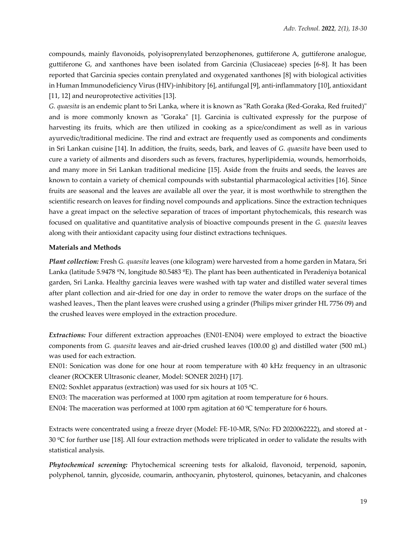compounds, mainly flavonoids, polyisoprenylated benzophenones, guttiferone A, guttiferone analogue, guttiferone G, and xanthones have been isolated from Garcinia (Clusiaceae) species [6-8]. It has been reported that Garcinia species contain prenylated and oxygenated xanthones [8] with biological activities in Human Immunodeficiency Virus (HIV)-inhibitory [6], antifungal [9], anti-inflammatory [10], antioxidant [11, 12] and neuroprotective activities [13].

*G. quaesita* is an endemic plant to Sri Lanka, where it is known as "Rath Goraka (Red-Goraka, Red fruited)" and is more commonly known as "Goraka" [1]. Garcinia is cultivated expressly for the purpose of harvesting its fruits, which are then utilized in cooking as a spice/condiment as well as in various ayurvedic/traditional medicine. The rind and extract are frequently used as components and condiments in Sri Lankan cuisine [14]. In addition, the fruits, seeds, bark, and leaves of *G. quaesita* have been used to cure a variety of ailments and disorders such as fevers, fractures, hyperlipidemia, wounds, hemorrhoids, and many more in Sri Lankan traditional medicine [15]. Aside from the fruits and seeds, the leaves are known to contain a variety of chemical compounds with substantial pharmacological activities [16]. Since fruits are seasonal and the leaves are available all over the year, it is most worthwhile to strengthen the scientific research on leaves for finding novel compounds and applications. Since the extraction techniques have a great impact on the selective separation of traces of important phytochemicals, this research was focused on qualitative and quantitative analysis of bioactive compounds present in the *G. quaesita* leaves along with their antioxidant capacity using four distinct extractions techniques.

# **Materials and Methods**

*Plant collection:* Fresh *G. quaesita* leaves (one kilogram) were harvested from a home garden in Matara, Sri Lanka (latitude 5.9478 ºN, longitude 80.5483 ºE). The plant has been authenticated in Peradeniya botanical garden, Sri Lanka. Healthy garcinia leaves were washed with tap water and distilled water several times after plant collection and air-dried for one day in order to remove the water drops on the surface of the washed leaves., Then the plant leaves were crushed using a grinder (Philips mixer grinder HL 7756 09) and the crushed leaves were employed in the extraction procedure.

*Extractions:* Four different extraction approaches (EN01-EN04) were employed to extract the bioactive components from *G. quaesita* leaves and air-dried crushed leaves (100.00 g) and distilled water (500 mL) was used for each extraction.

EN01: Sonication was done for one hour at room temperature with 40 kHz frequency in an ultrasonic cleaner (ROCKER Ultrasonic cleaner, Model: SONER 202H) [17].

EN02: Soxhlet apparatus (extraction) was used for six hours at 105 ºC.

EN03: The maceration was performed at 1000 rpm agitation at room temperature for 6 hours.

EN04: The maceration was performed at 1000 rpm agitation at 60 ºC temperature for 6 hours.

Extracts were concentrated using a freeze dryer (Model: FE-10-MR, S/No: FD 2020062222), and stored at - 30  $\degree$ C for further use [18]. All four extraction methods were triplicated in order to validate the results with statistical analysis.

*Phytochemical screening:* Phytochemical screening tests for alkaloid, flavonoid, terpenoid, saponin, polyphenol, tannin, glycoside, coumarin, anthocyanin, phytosterol, quinones, betacyanin, and chalcones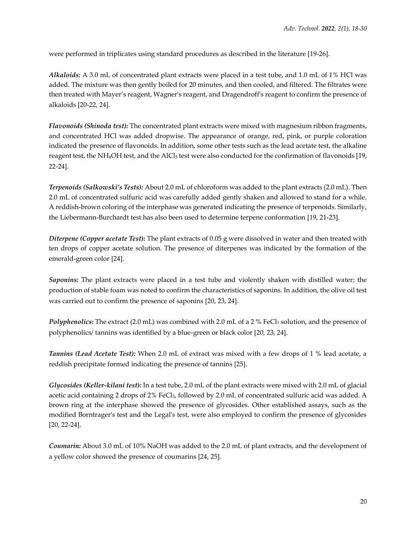were performed in triplicates using standard procedures as described in the literature [19-26].

*Alkaloids:* A 3.0 mL of concentrated plant extracts were placed in a test tube, and 1.0 mL of 1% HCl was added. The mixture was then gently boiled for 20 minutes, and then cooled, and filtered. The filtrates were then treated with Mayer's reagent, Wagner's reagent, and Dragendroff's reagent to confirm the presence of alkaloids [20-22, 24].

*Flavonoids (Shinoda test):* The concentrated plant extracts were mixed with magnesium ribbon fragments, and concentrated HCl was added dropwise. The appearance of orange, red, pink, or purple coloration indicated the presence of flavonoids. In addition, some other tests such as the lead acetate test, the alkaline reagent test, the NH4OH test, and the AlCl<sup>3</sup> test were also conducted for the confirmation of flavonoids [19, 22-24].

*Terpenoids (Salkowski's Tests):* About 2.0 mL of chloroform was added to the plant extracts (2.0 mL). Then 2.0 mL of concentrated sulfuric acid was carefully added gently shaken and allowed to stand for a while. A reddish-brown coloring of the interphase was generated indicating the presence of terpenoids. Similarly, the Liebermann-Burchardt test has also been used to determine terpene conformation [19, 21-23].

*Diterpene (Copper acetate Test):* The plant extracts of 0.05 g were dissolved in water and then treated with ten drops of copper acetate solution. The presence of diterpenes was indicated by the formation of the emerald-green color [24].

*Saponins:* The plant extracts were placed in a test tube and violently shaken with distilled water; the production of stable foam was noted to confirm the characteristics of saponins. In addition, the olive oil test was carried out to confirm the presence of saponins [20, 23, 24].

*Polyphenolics:* The extract (2.0 mL) was combined with 2.0 mL of a 2 % FeCl<sub>3</sub> solution, and the presence of polyphenolics/ tannins was identified by a blue-green or black color [20, 23, 24].

*Tannins (Lead Acetate Test):* When 2.0 mL of extract was mixed with a few drops of 1 % lead acetate, a reddish precipitate formed indicating the presence of tannins [25].

*Glycosides (Keller-kilani test):* In a test tube, 2.0 mL of the plant extracts were mixed with 2.0 mL of glacial acetic acid containing 2 drops of 2% FeCl<sub>3</sub>, followed by 2.0 mL of concentrated sulfuric acid was added. A brown ring at the interphase showed the presence of glycosides. Other established assays, such as the modified Borntrager's test and the Legal's test, were also employed to confirm the presence of glycosides [20, 22-24].

*Coumarin:* About 3.0 mL of 10% NaOH was added to the 2.0 mL of plant extracts, and the development of a yellow color showed the presence of coumarins [24, 25].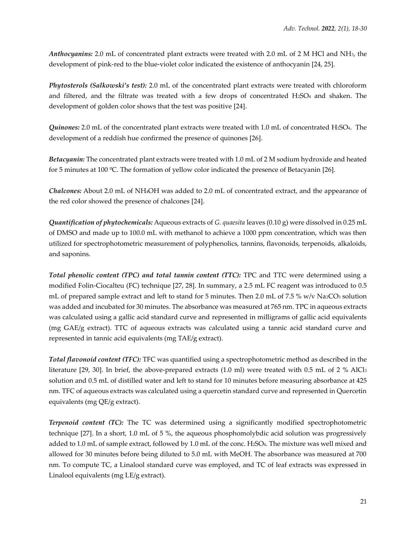*Anthocyanins:* 2.0 mL of concentrated plant extracts were treated with 2.0 mL of 2 M HCl and NH3, the development of pink-red to the blue-violet color indicated the existence of anthocyanin [24, 25].

*Phytosterols (Salkowski's test):* 2.0 mL of the concentrated plant extracts were treated with chloroform and filtered, and the filtrate was treated with a few drops of concentrated  $H<sub>2</sub>SO<sub>4</sub>$  and shaken. The development of golden color shows that the test was positive [24].

*Quinones:* 2.0 mL of the concentrated plant extracts were treated with 1.0 mL of concentrated H2SO4. The development of a reddish hue confirmed the presence of quinones [26].

*Betacyanin:* The concentrated plant extracts were treated with 1.0 mL of 2 M sodium hydroxide and heated for 5 minutes at 100 ºC. The formation of yellow color indicated the presence of Betacyanin [26].

*Chalcones:* About 2.0 mL of NH4OH was added to 2.0 mL of concentrated extract, and the appearance of the red color showed the presence of chalcones [24].

*Quantification of phytochemicals:* Aqueous extracts of *G. quaesita* leaves (0.10 g) were dissolved in 0.25 mL of DMSO and made up to 100.0 mL with methanol to achieve a 1000 ppm concentration, which was then utilized for spectrophotometric measurement of polyphenolics, tannins, flavonoids, terpenoids, alkaloids, and saponins.

*Total phenolic content (TPC) and total tannin content (TTC):* TPC and TTC were determined using a modified Folin-Ciocalteu (FC) technique [27, 28]. In summary, a 2.5 mL FC reagent was introduced to 0.5 mL of prepared sample extract and left to stand for 5 minutes. Then 2.0 mL of 7.5 % w/v Na2CO<sub>3</sub> solution was added and incubated for 30 minutes. The absorbance was measured at 765 nm. TPC in aqueous extracts was calculated using a gallic acid standard curve and represented in milligrams of gallic acid equivalents (mg GAE/g extract). TTC of aqueous extracts was calculated using a tannic acid standard curve and represented in tannic acid equivalents (mg TAE/g extract).

*Total flavonoid content (TFC):* TFC was quantified using a spectrophotometric method as described in the literature [29, 30]. In brief, the above-prepared extracts (1.0 ml) were treated with 0.5 mL of 2 % AlCl<sup>3</sup> solution and 0.5 mL of distilled water and left to stand for 10 minutes before measuring absorbance at 425 nm. TFC of aqueous extracts was calculated using a quercetin standard curve and represented in Quercetin equivalents (mg QE/g extract).

*Terpenoid content (TC):* The TC was determined using a significantly modified spectrophotometric technique [27]. In a short, 1.0 mL of 5 %, the aqueous phosphomolybdic acid solution was progressively added to 1.0 mL of sample extract, followed by 1.0 mL of the conc. H2SO4. The mixture was well mixed and allowed for 30 minutes before being diluted to 5.0 mL with MeOH. The absorbance was measured at 700 nm. To compute TC, a Linalool standard curve was employed, and TC of leaf extracts was expressed in Linalool equivalents (mg LE/g extract).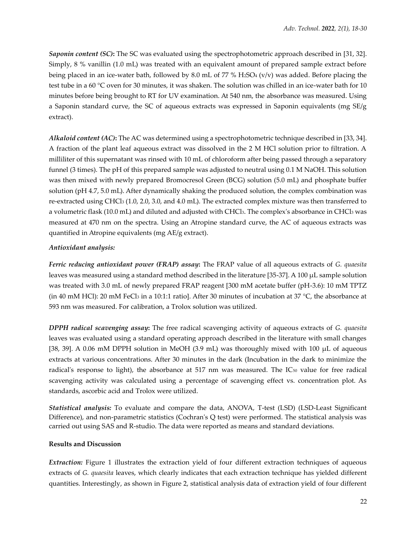*Saponin content (SC)***:** The SC was evaluated using the spectrophotometric approach described in [31, 32]. Simply, 8 % vanillin (1.0 mL) was treated with an equivalent amount of prepared sample extract before being placed in an ice-water bath, followed by 8.0 mL of 77 % H2SO4 (v/v) was added. Before placing the test tube in a 60 °C oven for 30 minutes, it was shaken. The solution was chilled in an ice-water bath for 10 minutes before being brought to RT for UV examination. At 540 nm, the absorbance was measured. Using a Saponin standard curve, the SC of aqueous extracts was expressed in Saponin equivalents (mg SE/g extract).

*Alkaloid content (AC)***:** The AC was determined using a spectrophotometric technique described in [33, 34]. A fraction of the plant leaf aqueous extract was dissolved in the 2 M HCl solution prior to filtration. A milliliter of this supernatant was rinsed with 10 mL of chloroform after being passed through a separatory funnel (3 times). The pH of this prepared sample was adjusted to neutral using 0.1 M NaOH. This solution was then mixed with newly prepared Bromocresol Green (BCG) solution (5.0 mL) and phosphate buffer solution (pH 4.7, 5.0 mL). After dynamically shaking the produced solution, the complex combination was re-extracted using CHCl<sup>3</sup> (1.0, 2.0, 3.0, and 4.0 mL). The extracted complex mixture was then transferred to a volumetric flask (10.0 mL) and diluted and adjusted with CHCl3. The complex's absorbance in CHCl<sup>3</sup> was measured at 470 nm on the spectra. Using an Atropine standard curve, the AC of aqueous extracts was quantified in Atropine equivalents (mg AE/g extract).

# *Antioxidant analysis:*

*Ferric reducing antioxidant power (FRAP) assay***:** The FRAP value of all aqueous extracts of *G. quaesita* leaves was measured using a standard method described in the literature [35-37]. A 100 μL sample solution was treated with 3.0 mL of newly prepared FRAP reagent [300 mM acetate buffer (pH-3.6): 10 mM TPTZ (in 40 mM HCl): 20 mM FeCl<sub>3</sub> in a 10:1:1 ratio]. After 30 minutes of incubation at 37 °C, the absorbance at 593 nm was measured. For calibration, a Trolox solution was utilized.

*DPPH radical scavenging assay***:** The free radical scavenging activity of aqueous extracts of *G. quaesita* leaves was evaluated using a standard operating approach described in the literature with small changes [38, 39]. A 0.06 mM DPPH solution in MeOH (3.9 mL) was thoroughly mixed with 100 μL of aqueous extracts at various concentrations. After 30 minutes in the dark (Incubation in the dark to minimize the radical's response to light), the absorbance at 517 nm was measured. The IC<sub>50</sub> value for free radical scavenging activity was calculated using a percentage of scavenging effect vs. concentration plot. As standards, ascorbic acid and Trolox were utilized.

*Statistical analysis:* To evaluate and compare the data, ANOVA, T-test (LSD) (LSD-Least Significant Difference), and non-parametric statistics (Cochran's Q test) were performed. The statistical analysis was carried out using SAS and R-studio. The data were reported as means and standard deviations.

# **Results and Discussion**

*Extraction:* Figure 1 illustrates the extraction yield of four different extraction techniques of aqueous extracts of *G. quaesita* leaves, which clearly indicates that each extraction technique has yielded different quantities. Interestingly, as shown in Figure 2, statistical analysis data of extraction yield of four different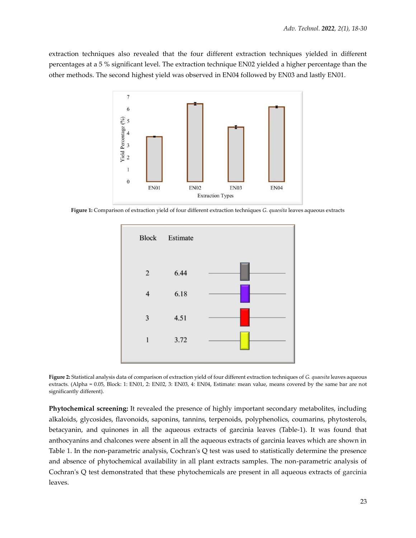extraction techniques also revealed that the four different extraction techniques yielded in different percentages at a 5 % significant level. The extraction technique EN02 yielded a higher percentage than the other methods. The second highest yield was observed in EN04 followed by EN03 and lastly EN01.



**Figure 1:** Comparison of extraction yield of four different extraction techniques *G. quaesita* leaves aqueous extracts



**Figure 2:** Statistical analysis data of comparison of extraction yield of four different extraction techniques of *G. quaesita* leaves aqueous extracts. (Alpha = 0.05, Block: 1: EN01, 2: EN02, 3: EN03, 4: EN04, Estimate: mean value, means covered by the same bar are not significantly different).

**Phytochemical screening:** It revealed the presence of highly important secondary metabolites, including alkaloids, glycosides, flavonoids, saponins, tannins, terpenoids, polyphenolics, coumarins, phytosterols, betacyanin, and quinones in all the aqueous extracts of garcinia leaves (Table-1). It was found that anthocyanins and chalcones were absent in all the aqueous extracts of garcinia leaves which are shown in Table 1. In the non-parametric analysis, Cochran's Q test was used to statistically determine the presence and absence of phytochemical availability in all plant extracts samples. The non-parametric analysis of Cochran's Q test demonstrated that these phytochemicals are present in all aqueous extracts of garcinia leaves.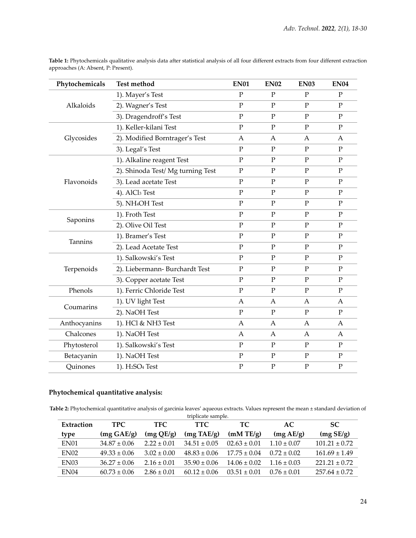| Phytochemicals | <b>Test method</b>                      | <b>EN01</b>    | <b>EN02</b>    | <b>EN03</b>    | <b>EN04</b>    |
|----------------|-----------------------------------------|----------------|----------------|----------------|----------------|
|                | 1). Mayer's Test                        | $\overline{P}$ | $\mathbf{P}$   | $\overline{P}$ | $\mathbf{P}$   |
| Alkaloids      | 2). Wagner's Test                       | $\mathbf{P}$   | $\mathbf{P}$   | $\mathbf{P}$   | $\mathbf{P}$   |
|                | 3). Dragendroff's Test                  | $\overline{P}$ | $\mathbf{P}$   | $\mathbf{P}$   | $\mathbf{P}$   |
|                | 1). Keller-kilani Test                  | $\mathbf P$    | ${\bf P}$      | ${\bf P}$      | ${\bf P}$      |
| Glycosides     | 2). Modified Borntrager's Test          | $\mathbf{A}$   | A              | $\mathbf{A}$   | $\mathbf{A}$   |
|                | 3). Legal's Test                        | $\mathbf P$    | ${\bf P}$      | $\mathbf P$    | $\mathbf P$    |
|                | 1). Alkaline reagent Test               | $\mathbf{P}$   | $\mathbf{P}$   | $\overline{P}$ | $\mathbf{P}$   |
| Flavonoids     | 2). Shinoda Test/ Mg turning Test       | $\mathbf P$    | ${\bf P}$      | $\mathbf{P}$   | ${\bf P}$      |
|                | 3). Lead acetate Test                   | $\mathbf P$    | $\mathbf P$    | $\mathbf P$    | $\mathbf P$    |
|                | 4). AlCl <sub>3</sub> Test              | $\mathbf{P}$   | $\mathbf{P}$   | $\overline{P}$ | $\mathbf{P}$   |
|                | 5). NH <sub>4</sub> OH Test             | $\mathbf{P}$   | ${\bf P}$      | $\overline{P}$ | $\mathbf{P}$   |
| Saponins       | 1). Froth Test                          | $\overline{P}$ | $\mathbf{P}$   | $\overline{P}$ | $\overline{P}$ |
|                | 2). Olive Oil Test                      | $\mathbf{P}$   | $\overline{P}$ | $\overline{P}$ | $\mathbf{P}$   |
| Tannins        | 1). Bramer's Test                       | $\mathbf P$    | ${\bf P}$      | ${\bf P}$      | ${\bf P}$      |
|                | 2). Lead Acetate Test                   | $\mathbf P$    | P              | $\mathbf{P}$   | $\mathbf P$    |
| Terpenoids     | 1). Salkowski's Test                    | $\mathbf P$    | ${\bf P}$      | ${\bf P}$      | ${\bf P}$      |
|                | 2). Liebermann- Burchardt Test          | $\mathbf{P}$   | $\mathbf{P}$   | $\mathbf{P}$   | $\overline{P}$ |
|                | 3). Copper acetate Test                 | $\mathbf P$    | ${\bf P}$      | $\mathbf P$    | $\mathbf P$    |
| Phenols        | 1). Ferric Chloride Test                | $\mathbf P$    | $\mathbf{P}$   | P              | $\mathbf P$    |
| Coumarins      | 1). UV light Test                       | A              | A              | A              | A              |
|                | 2). NaOH Test                           | $\mathbf{P}$   | $\mathbf{P}$   | $\overline{P}$ | ${\bf P}$      |
| Anthocyanins   | 1). HCl & NH3 Test                      | $\overline{A}$ | A              | $\mathsf{A}$   | $\overline{A}$ |
| Chalcones      | 1). NaOH Test                           | A              | $\mathsf{A}$   | A              | A              |
| Phytosterol    | 1). Salkowski's Test                    | $\mathbf P$    | ${\bf P}$      | ${\bf P}$      | ${\bf P}$      |
| Betacyanin     | 1). NaOH Test                           | $\mathbf P$    | $\mathbf P$    | $\mathbf P$    | ${\bf P}$      |
| Quinones       | 1). H <sub>2</sub> SO <sub>4</sub> Test | $\mathbf{P}$   | ${\bf P}$      | $\mathbf{P}$   | ${\bf P}$      |

Table 1: Phytochemicals qualitative analysis data after statistical analysis of all four different extracts from four different extraction approaches (A: Absent, P: Present).

# **Phytochemical quantitative analysis:**

**Table 2:** Phytochemical quantitative analysis of garcinia leaves' aqueous extracts. Values represent the mean ± standard deviation of

| triplicate sample. |                      |                 |                      |                  |                 |                   |  |  |  |
|--------------------|----------------------|-----------------|----------------------|------------------|-----------------|-------------------|--|--|--|
| Extraction         | <b>TPC</b>           | TFC             | <b>TTC</b>           | <b>TC</b>        | AC.             | <b>SC</b>         |  |  |  |
| type               | $(mg \text{ GAE/g})$ | (mg QE/g)       | $(mg \text{ TAE/g})$ | (mM TE/g)        | (mg AE/g)       | (mg SE/g)         |  |  |  |
| EN <sub>01</sub>   | $34.87 \pm 0.06$     | $2.22 + 0.01$   | $34.51 + 0.05$       | $02.63 \pm 0.01$ | $1.10 \pm 0.07$ | $101.21 \pm 0.72$ |  |  |  |
| EN02               | $49.33 \pm 0.06$     | $3.02 \pm 0.00$ | $48.83 \pm 0.06$     | $17.75 + 0.04$   | $0.72 \pm 0.02$ | $161.69 \pm 1.49$ |  |  |  |
| EN <sub>03</sub>   | $36.27 \pm 0.06$     | $2.16 \pm 0.01$ | $35.90 \pm 0.06$     | $14.06 \pm 0.02$ | $1.16 \pm 0.03$ | $221.21 \pm 0.72$ |  |  |  |
| EN04               | $60.73 \pm 0.06$     | $2.86 \pm 0.01$ | $60.12 \pm 0.06$     | $03.51 + 0.01$   | $0.76 \pm 0.01$ | $257.64 \pm 0.72$ |  |  |  |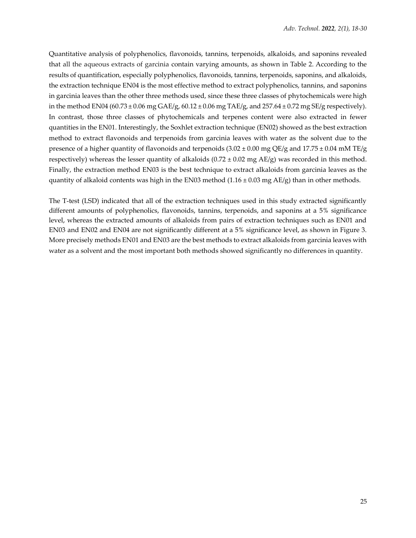Quantitative analysis of polyphenolics, flavonoids, tannins, terpenoids, alkaloids, and saponins revealed that all the aqueous extracts of garcinia contain varying amounts, as shown in Table 2. According to the results of quantification, especially polyphenolics, flavonoids, tannins, terpenoids, saponins, and alkaloids, the extraction technique EN04 is the most effective method to extract polyphenolics, tannins, and saponins in garcinia leaves than the other three methods used, since these three classes of phytochemicals were high in the method EN04 (60.73  $\pm$  0.06 mg GAE/g, 60.12  $\pm$  0.06 mg TAE/g, and 257.64  $\pm$  0.72 mg SE/g respectively). In contrast, those three classes of phytochemicals and terpenes content were also extracted in fewer quantities in the EN01. Interestingly, the Soxhlet extraction technique (EN02) showed as the best extraction method to extract flavonoids and terpenoids from garcinia leaves with water as the solvent due to the presence of a higher quantity of flavonoids and terpenoids  $(3.02 \pm 0.00 \text{ mg QE/g}$  and  $17.75 \pm 0.04 \text{ mM TE/g}$ respectively) whereas the lesser quantity of alkaloids (0.72  $\pm$  0.02 mg AE/g) was recorded in this method. Finally, the extraction method EN03 is the best technique to extract alkaloids from garcinia leaves as the quantity of alkaloid contents was high in the EN03 method  $(1.16 \pm 0.03 \text{ mg AE/g})$  than in other methods.

The T-test (LSD) indicated that all of the extraction techniques used in this study extracted significantly different amounts of polyphenolics, flavonoids, tannins, terpenoids, and saponins at a 5% significance level, whereas the extracted amounts of alkaloids from pairs of extraction techniques such as EN01 and EN03 and EN02 and EN04 are not significantly different at a 5% significance level, as shown in Figure 3. More precisely methods EN01 and EN03 are the best methods to extract alkaloids from garcinia leaves with water as a solvent and the most important both methods showed significantly no differences in quantity.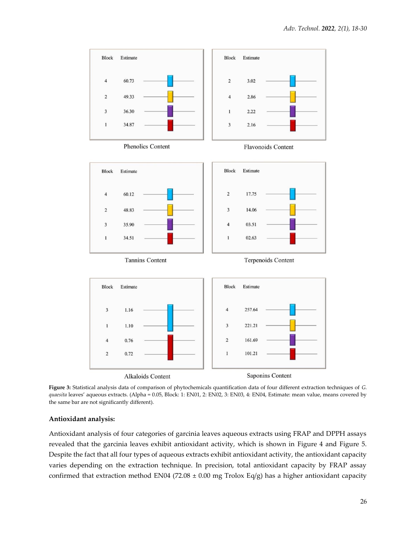

**Figure 3:** Statistical analysis data of comparison of phytochemicals quantification data of four different extraction techniques of *G. quaesita* leaves' aqueous extracts. (Alpha = 0.05, Block: 1: EN01, 2: EN02, 3: EN03, 4: EN04, Estimate: mean value, means covered by the same bar are not significantly different).

#### **Antioxidant analysis:**

Antioxidant analysis of four categories of garcinia leaves aqueous extracts using FRAP and DPPH assays revealed that the garcinia leaves exhibit antioxidant activity, which is shown in Figure 4 and Figure 5. Despite the fact that all four types of aqueous extracts exhibit antioxidant activity, the antioxidant capacity varies depending on the extraction technique. In precision, total antioxidant capacity by FRAP assay confirmed that extraction method EN04 (72.08  $\pm$  0.00 mg Trolox Eq/g) has a higher antioxidant capacity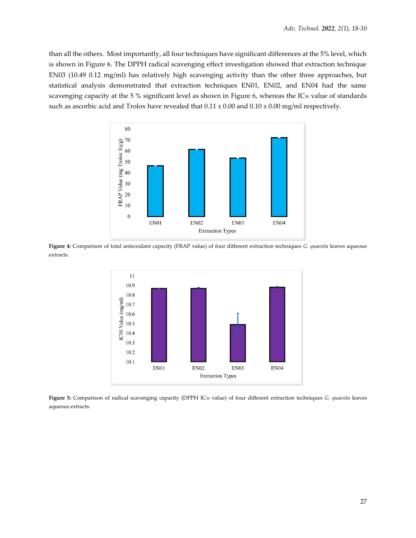than all the others. Most importantly, all four techniques have significant differences at the 5% level, which is shown in Figure 6. The DPPH radical scavenging effect investigation showed that extraction technique EN03 (10.49 0.12 mg/ml) has relatively high scavenging activity than the other three approaches, but statistical analysis demonstrated that extraction techniques EN01, EN02, and EN04 had the same scavenging capacity at the 5 % significant level as shown in Figure 6, whereas the IC<sub>50</sub> value of standards such as ascorbic acid and Trolox have revealed that  $0.11 \pm 0.00$  and  $0.10 \pm 0.00$  mg/ml respectively.



**Figure 4:** Comparison of total antioxidant capacity (FRAP value) of four different extraction techniques *G. quaesita* leaves aqueous extracts.



**Figure 5:** Comparison of radical scavenging capacity (DPPH IC<sup>50</sup> value) of four different extraction techniques *G. quaesita* leaves aqueous extracts.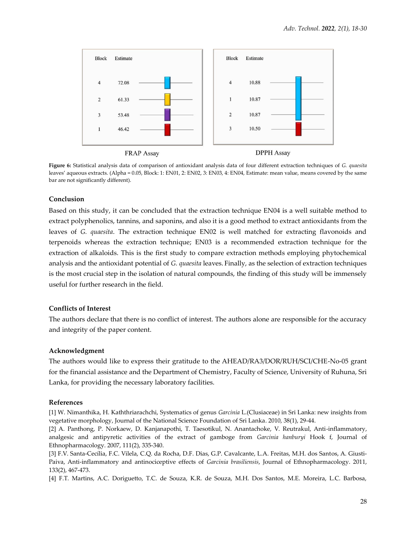

**Figure 6:** Statistical analysis data of comparison of antioxidant analysis data of four different extraction techniques of *G. quaesita* leaves' aqueous extracts. (Alpha = 0.05, Block: 1: EN01, 2: EN02, 3: EN03, 4: EN04, Estimate: mean value, means covered by the same bar are not significantly different).

#### **Conclusion**

Based on this study, it can be concluded that the extraction technique EN04 is a well suitable method to extract polyphenolics, tannins, and saponins, and also it is a good method to extract antioxidants from the leaves of *G. quaesita*. The extraction technique EN02 is well matched for extracting flavonoids and terpenoids whereas the extraction technique; EN03 is a recommended extraction technique for the extraction of alkaloids. This is the first study to compare extraction methods employing phytochemical analysis and the antioxidant potential of *G. quaesita* leaves. Finally, as the selection of extraction techniques is the most crucial step in the isolation of natural compounds, the finding of this study will be immensely useful for further research in the field.

#### **Conflicts of Interest**

The authors declare that there is no conflict of interest. The authors alone are responsible for the accuracy and integrity of the paper content.

#### **Acknowledgment**

The authors would like to express their gratitude to the AHEAD/RA3/DOR/RUH/SCI/CHE-No-05 grant for the financial assistance and the Department of Chemistry, Faculty of Science, University of Ruhuna, Sri Lanka, for providing the necessary laboratory facilities.

# **References**

[1] W. Nimanthika, H. Kaththriarachchi, Systematics of genus *Garcinia* L.(Clusiaceae) in Sri Lanka: new insights from vegetative morphology, Journal of the National Science Foundation of Sri Lanka. 2010, 38(1), 29-44.

[2] A. Panthong, P. Norkaew, D. Kanjanapothi, T. Taesotikul, N. Anantachoke, V. Reutrakul, Anti-inflammatory, analgesic and antipyretic activities of the extract of gamboge from *Garcinia hanburyi* Hook f, Journal of Ethnopharmacology. 2007, 111(2), 335-340.

[3] F.V. Santa-Cecília, F.C. Vilela, C.Q. da Rocha, D.F. Dias, G.P. Cavalcante, L.A. Freitas, M.H. dos Santos, A. Giusti-Paiva, Anti-inflammatory and antinociceptive effects of *Garcinia brasiliensis*, Journal of Ethnopharmacology. 2011, 133(2), 467-473.

[4] F.T. Martins, A.C. Doriguetto, T.C. de Souza, K.R. de Souza, M.H. Dos Santos, M.E. Moreira, L.C. Barbosa,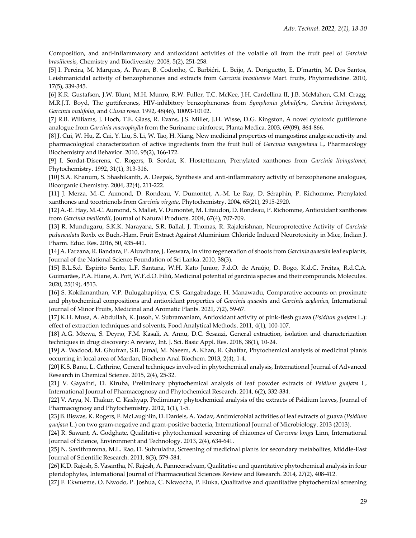Composition, and anti-inflammatory and antioxidant activities of the volatile oil from the fruit peel of *Garcinia brasiliensis*, Chemistry and Biodiversity. 2008, 5(2), 251-258.

[5] I. Pereira, M. Marques, A. Pavan, B. Codonho, C. Barbiéri, L. Beijo, A. Doriguetto, E. D'martín, M. Dos Santos, Leishmanicidal activity of benzophenones and extracts from *Garcinia brasiliensis* Mart. fruits, Phytomedicine. 2010, 17(5), 339-345.

[6] K.R. Gustafson, J.W. Blunt, M.H. Munro, R.W. Fuller, T.C. McKee, J.H. Cardellina II, J.B. McMahon, G.M. Cragg, M.R.J.T. Boyd, The guttiferones, HIV-inhibitory benzophenones from *Symphonia globulifera*, *Garcinia livingstonei*, *Garcinia ovalifolia,* and *Clusia rosea*. 1992, 48(46), 10093-10102.

[7] R.B. Williams, J. Hoch, T.E. Glass, R. Evans, J.S. Miller, J.H. Wisse, D.G. Kingston, A novel cytotoxic guttiferone analogue from *Garcinia macrophylla* from the Suriname rainforest, Planta Medica. 2003, 69(09), 864-866.

[8] J. Cui, W. Hu, Z. Cai, Y. Liu, S. Li, W. Tao, H. Xiang, New medicinal properties of mangostins: analgesic activity and pharmacological characterization of active ingredients from the fruit hull of *Garcinia mangostana* L, Pharmacology Biochemistry and Behavior. 2010, 95(2), 166-172.

[9] I. Sordat-Diserens, C. Rogers, B. Sordat, K. Hostettmann, Prenylated xanthones from *Garcinia livingstonei*, Phytochemistry. 1992, 31(1), 313-316.

[10] S.A. Khanum, S. Shashikanth, A. Deepak, Synthesis and anti-inflammatory activity of benzophenone analogues, Bioorganic Chemistry. 2004, 32(4), 211-222.

[11] J. Merza, M.-C. Aumond, D. Rondeau, V. Dumontet, A.-M. Le Ray, D. Séraphin, P. Richomme, Prenylated xanthones and tocotrienols from *Garcinia virgata*, Phytochemistry. 2004, 65(21), 2915-2920.

[12] A.-E. Hay, M.-C. Aumond, S. Mallet, V. Dumontet, M. Litaudon, D. Rondeau, P. Richomme, Antioxidant xanthones from *Garcinia vieillardii*, Journal of Natural Products. 2004, 67(4), 707-709.

[13] R. Mundugaru, S.K.K. Narayana, S.R. Ballal, J. Thomas, R. Rajakrishnan, Neuroprotective Activity of *Garcinia pedunculata* Roxb. ex Buch.-Ham. Fruit Extract Against Aluminium Chloride Induced Neurotoxicity in Mice, Indian J. Pharm. Educ. Res. 2016, 50, 435-441.

[14] A. Farzana, R. Bandara, P. Aluwihare, J. Eeswara, In vitro regeneration of shoots from *Garcinia quaesita* leaf explants, Journal of the National Science Foundation of Sri Lanka. 2010, 38(3).

[15] B.L.S.d. Espirito Santo, L.F. Santana, W.H. Kato Junior, F.d.O. de Araújo, D. Bogo, K.d.C. Freitas, R.d.C.A. Guimarães, P.A. Hiane, A. Pott, W.F.d.O. Filiú, Medicinal potential of garcinia species and their compounds, Molecules. 2020, 25(19), 4513.

[16] S. Kokilananthan, V.P. Bulugahapitiya, C.S. Gangabadage, H. Manawadu, Comparative accounts on proximate and phytochemical compositions and antioxidant properties of *Garcinia quaesita* and *Garcinia zeylanica*, International Journal of Minor Fruits, Medicinal and Aromatic Plants. 2021, 7(2), 59-67.

[17] K.H. Musa, A. Abdullah, K. Jusoh, V. Subramaniam, Antioxidant activity of pink-flesh guava (*Psidium guajava* L.): effect of extraction techniques and solvents, Food Analytical Methods. 2011, 4(1), 100-107.

[18] A.G. Mtewa, S. Deyno, F.M. Kasali, A. Annu, D.C. Sesaazi, General extraction, isolation and characterization techniques in drug discovery: A review, Int. J. Sci. Basic Appl. Res. 2018, 38(1), 10-24.

[19] A. Wadood, M. Ghufran, S.B. Jamal, M. Naeem, A. Khan, R. Ghaffar, Phytochemical analysis of medicinal plants occurring in local area of Mardan, Biochem Anal Biochem. 2013, 2(4), 1-4.

[20] K.S. Banu, L. Cathrine, General techniques involved in phytochemical analysis, International Journal of Advanced Research in Chemical Science. 2015, 2(4), 25-32.

[21] V. Gayathri, D. Kiruba, Preliminary phytochemical analysis of leaf powder extracts of *Psidium guajava* L, International Journal of Pharmacognosy and Phytochemical Research. 2014, 6(2), 332-334.

[22] V. Arya, N. Thakur, C. Kashyap, Preliminary phytochemical analysis of the extracts of Psidium leaves, Journal of Pharmacognosy and Phytochemistry. 2012, 1(1), 1-5.

[23] B. Biswas, K. Rogers, F. McLaughlin, D. Daniels, A. Yadav, Antimicrobial activities of leaf extracts of guava (*Psidium guajava* L.) on two gram-negative and gram-positive bacteria, International Journal of Microbiology. 2013 (2013).

[24] R. Sawant, A. Godghate, Qualitative phytochemical screening of rhizomes of *Curcuma longa* Linn, International Journal of Science, Environment and Technology. 2013, 2(4), 634-641.

[25] N. Savithramma, M.L. Rao, D. Suhrulatha, Screening of medicinal plants for secondary metabolites, Middle-East Journal of Scientific Research. 2011, 8(3), 579-584.

[26] K.D. Rajesh, S. Vasantha, N. Rajesh, A. Panneerselvam, Qualitative and quantitative phytochemical analysis in four pteridophytes, International Journal of Pharmaceutical Sciences Review and Research. 2014, 27(2), 408-412.

[27] F. Ekwueme, O. Nwodo, P. Joshua, C. Nkwocha, P. Eluka, Qualitative and quantitative phytochemical screening